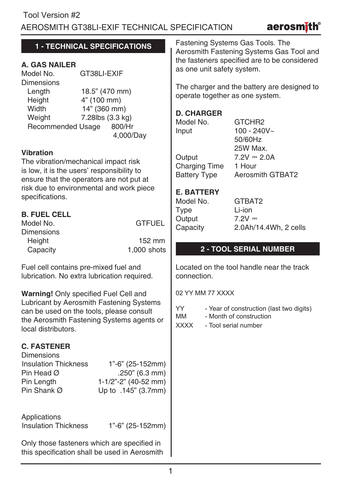aerosmi

# **1 - TECHNICAL SPECIFICATIONS**

# **A. GAS NAILER**

GT38LL-EXIF **Dimensions** Length 18.5" (470 mm)<br>
Height 4" (100 mm) Height 4" (100 mm)<br>Width 14" (360 mm Width 14" (360 mm)<br>Weight 7.28lbs (3.3 kg) 7.28lbs (3.3 kg) Recommended Usage 800/Hr 4,000/Day

#### **Vibration**

The vibration/mechanical impact risk is low, it is the users' responsibility to ensure that the operators are not put at risk due to environmental and work piece specifications.

## **B. FUEL CELL**

| Model No.     | <b>GTFUEL</b> |
|---------------|---------------|
| Dimensions    |               |
| <b>Height</b> | 152 mm        |
| Capacity      | 1,000 shots   |

Fuel cell contains pre-mixed fuel and lubrication. No extra lubrication required.

**Warning!** Only specified Fuel Cell and Lubricant by Aerosmith Fastening Systems can be used on the tools, please consult the Aerosmith Fastening Systems agents or local distributors.

# **C. FASTENER**

**Dimensions** Insulation Thickness 1"-6" (25-152mm) Pin Head  $\varnothing$  ... 250" (6.3 mm) Pin Length 1-1/2"-2" (40-52 mm) Up to .145" (3.7mm)

Applications

Insulation Thickness 1"-6" (25-152mm)

Only those fasteners which are specified in this specification shall be used in Aerosmith Fastening Systems Gas Tools. The Aerosmith Fastening Systems Gas Tool and the fasteners specified are to be considered as one unit safety system.

The charger and the battery are designed to operate together as one system.

#### **D. CHARGER**

Model No. **GTCHR2**  $Input 100 - 240V~$ Output  $7.2V = 2.0A$ <br>Charging Time  $1$  Hour Charging Time<br>Battery Type

50/60Hz 25W Max. Aerosmith GTBAT2

## **E. BATTERY**

| Model No. |  |
|-----------|--|
| Type      |  |
| Output    |  |
| Capacity  |  |
|           |  |

GTBAT2 Li-ion  $7.2V =$ 2.0Ah/14.4Wh, 2 cells

# **2 - TOOL SERIAL NUMBER**

Located on the tool handle near the track connection.

02 YY MM 77 XXXX

| YY<br>- Year of construction (last two digits) |  |
|------------------------------------------------|--|
|------------------------------------------------|--|

- MM Month of construction
- XXXX Tool serial number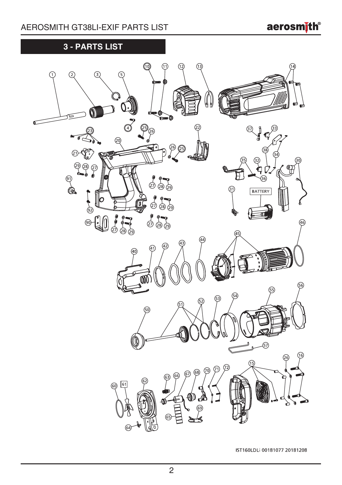**aerosmith®** 

# **3 - PARTS LIST**



IST160LDLi 00181077 20181208